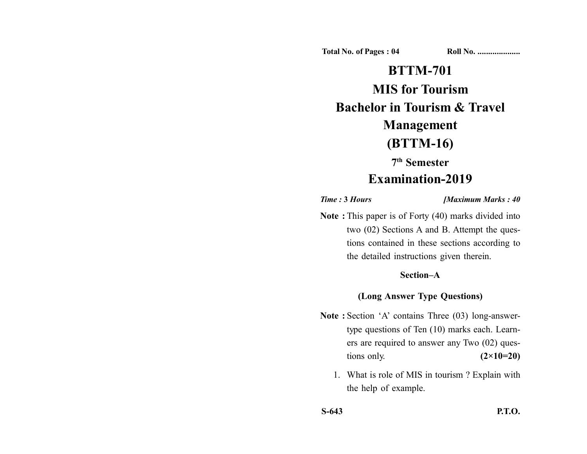**Total No. of Pages : 04 Roll No. ...................** 

# **BTTM-701**

## **MIS for Tourism**

**Bachelor in Tourism & Travel**

## **Management**

## **(BTTM-16)**

**7th Semester**

## **Examination-2019**

*Time :* **3** *Hours [Maximum Marks : 40*

**Note :** This paper is of Forty (40) marks divided into two (02) Sections A and B. Attempt the questions contained in these sections according to the detailed instructions given therein.

### **Section–A**

#### **(Long Answer Type Questions)**

- Note : Section 'A' contains Three (03) long-answertype questions of Ten (10) marks each. Learners are required to answer any Two (02) questions only. **(2×10=20)** 
	- 1. What is role of MIS in tourism ? Explain with the help of example.

**S-643 P.T.O.**